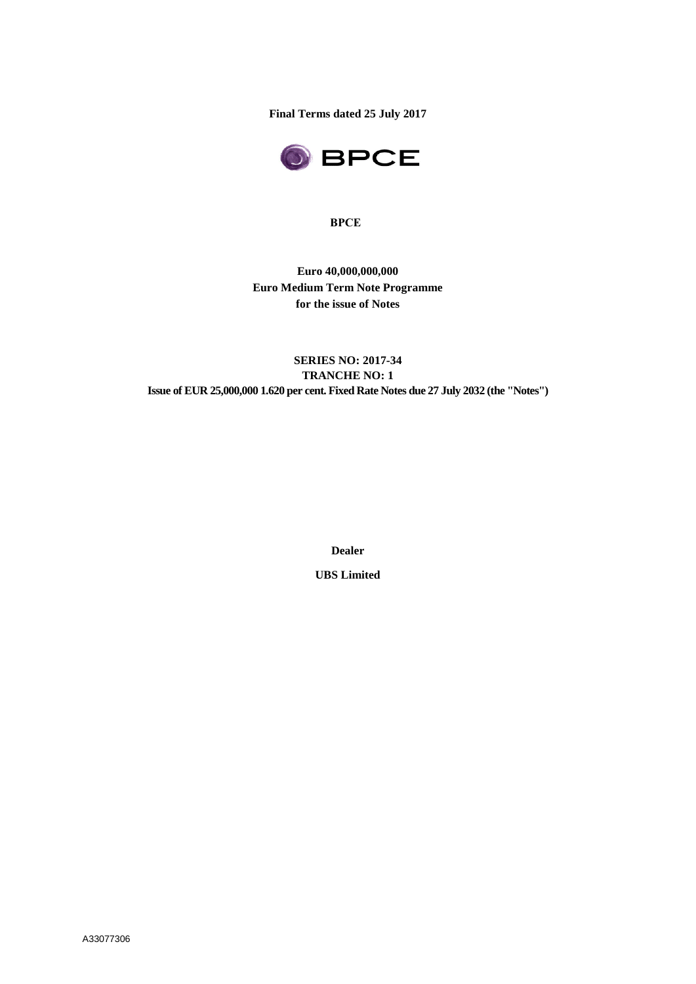**Final Terms dated 25 July 2017**



#### **BPCE**

**Euro 40,000,000,000 Euro Medium Term Note Programme for the issue of Notes**

# **SERIES NO: 2017-34 TRANCHE NO: 1 Issue of EUR 25,000,000 1.620 per cent. Fixed Rate Notes due 27 July 2032 (the "Notes")**

**Dealer**

**UBS Limited**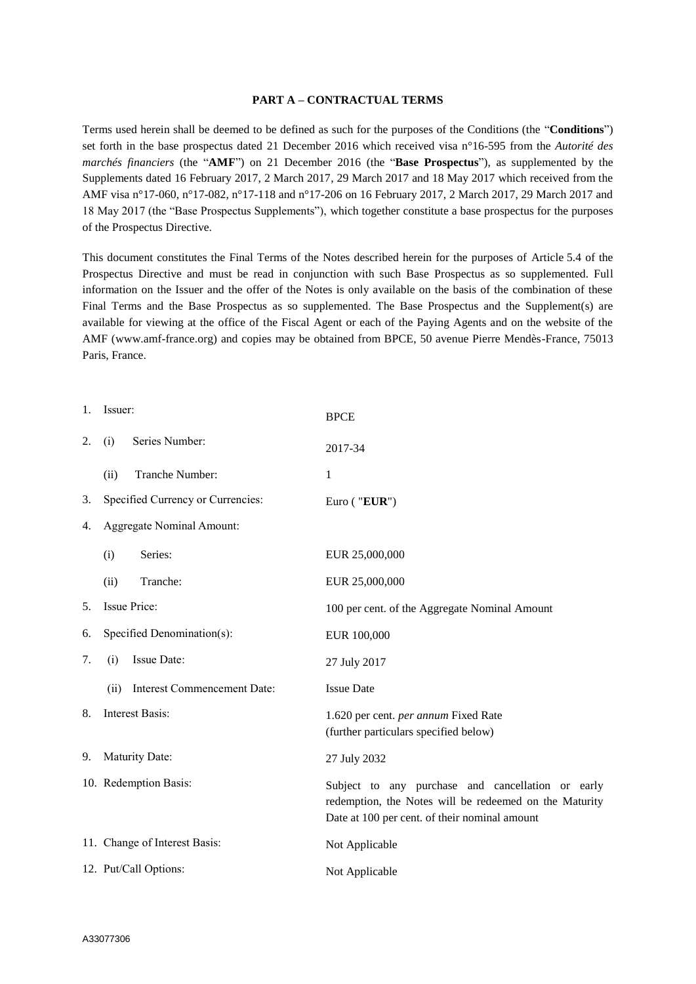#### **PART A – CONTRACTUAL TERMS**

Terms used herein shall be deemed to be defined as such for the purposes of the Conditions (the "**Conditions**") set forth in the base prospectus dated 21 December 2016 which received visa n°16-595 from the *Autorité des marchés financiers* (the "**AMF**") on 21 December 2016 (the "**Base Prospectus**"), as supplemented by the Supplements dated 16 February 2017, 2 March 2017, 29 March 2017 and 18 May 2017 which received from the AMF visa n°17-060, n°17-082, n°17-118 and n°17-206 on 16 February 2017, 2 March 2017, 29 March 2017 and 18 May 2017 (the "Base Prospectus Supplements"), which together constitute a base prospectus for the purposes of the Prospectus Directive.

This document constitutes the Final Terms of the Notes described herein for the purposes of Article 5.4 of the Prospectus Directive and must be read in conjunction with such Base Prospectus as so supplemented. Full information on the Issuer and the offer of the Notes is only available on the basis of the combination of these Final Terms and the Base Prospectus as so supplemented. The Base Prospectus and the Supplement(s) are available for viewing at the office of the Fiscal Agent or each of the Paying Agents and on the website of the AMF (www.amf-france.org) and copies may be obtained from BPCE, 50 avenue Pierre Mendès-France, 75013 Paris, France.

| 1. | Issuer:                          |                                   | <b>BPCE</b>                                                                                                                                                  |
|----|----------------------------------|-----------------------------------|--------------------------------------------------------------------------------------------------------------------------------------------------------------|
| 2. | (i)                              | Series Number:                    | 2017-34                                                                                                                                                      |
|    | (ii)                             | Tranche Number:                   | $\mathbf{1}$                                                                                                                                                 |
| 3. |                                  | Specified Currency or Currencies: | Euro ( $"EUR"$ )                                                                                                                                             |
| 4. | <b>Aggregate Nominal Amount:</b> |                                   |                                                                                                                                                              |
|    | (i)                              | Series:                           | EUR 25,000,000                                                                                                                                               |
|    | (ii)                             | Tranche:                          | EUR 25,000,000                                                                                                                                               |
| 5. |                                  | Issue Price:                      | 100 per cent. of the Aggregate Nominal Amount                                                                                                                |
| 6. | Specified Denomination(s):       |                                   | EUR 100,000                                                                                                                                                  |
| 7. | (i)                              | Issue Date:                       | 27 July 2017                                                                                                                                                 |
|    | (ii)                             | Interest Commencement Date:       | <b>Issue Date</b>                                                                                                                                            |
| 8. |                                  | <b>Interest Basis:</b>            | 1.620 per cent. per annum Fixed Rate<br>(further particulars specified below)                                                                                |
| 9. |                                  | Maturity Date:                    | 27 July 2032                                                                                                                                                 |
|    |                                  | 10. Redemption Basis:             | Subject to any purchase and cancellation or early<br>redemption, the Notes will be redeemed on the Maturity<br>Date at 100 per cent. of their nominal amount |
|    |                                  | 11. Change of Interest Basis:     | Not Applicable                                                                                                                                               |
|    |                                  | 12. Put/Call Options:             | Not Applicable                                                                                                                                               |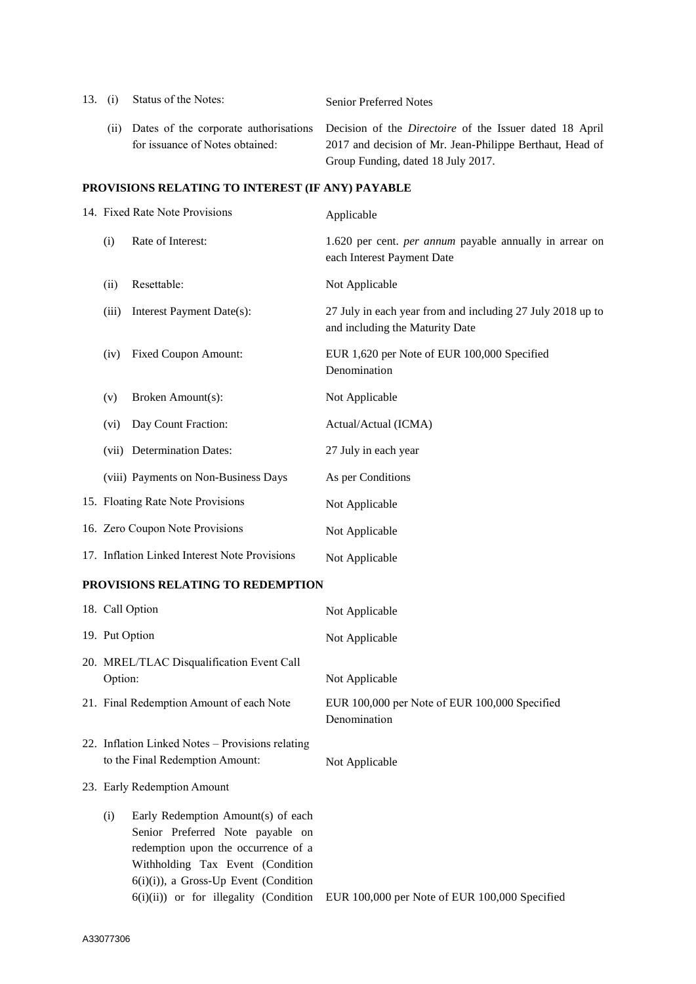| 13. (i)                                          |      | Status of the Notes:                                                     | <b>Senior Preferred Notes</b>                                                                                                                                    |
|--------------------------------------------------|------|--------------------------------------------------------------------------|------------------------------------------------------------------------------------------------------------------------------------------------------------------|
|                                                  | (11) | Dates of the corporate authorisations<br>for issuance of Notes obtained: | Decision of the <i>Directoire</i> of the Issuer dated 18 April<br>2017 and decision of Mr. Jean-Philippe Berthaut, Head of<br>Group Funding, dated 18 July 2017. |
| PROVISIONS RELATING TO INTEREST (IF ANY) PAYABLE |      |                                                                          |                                                                                                                                                                  |
|                                                  |      | 14. Fixed Rate Note Provisions                                           | Applicable                                                                                                                                                       |

|       |                                               | $\mu$                                                                                         |
|-------|-----------------------------------------------|-----------------------------------------------------------------------------------------------|
| (i)   | Rate of Interest:                             | 1.620 per cent. <i>per annum</i> payable annually in arrear on<br>each Interest Payment Date  |
| (ii)  | Resettable:                                   | Not Applicable                                                                                |
| (iii) | Interest Payment Date(s):                     | 27 July in each year from and including 27 July 2018 up to<br>and including the Maturity Date |
| (iv)  | <b>Fixed Coupon Amount:</b>                   | EUR 1,620 per Note of EUR 100,000 Specified<br>Denomination                                   |
| (v)   | Broken Amount(s):                             | Not Applicable                                                                                |
| (vi)  | Day Count Fraction:                           | Actual/Actual (ICMA)                                                                          |
|       | (vii) Determination Dates:                    | 27 July in each year                                                                          |
|       | (viii) Payments on Non-Business Days          | As per Conditions                                                                             |
|       | 15. Floating Rate Note Provisions             | Not Applicable                                                                                |
|       | 16. Zero Coupon Note Provisions               | Not Applicable                                                                                |
|       | 17. Inflation Linked Interest Note Provisions | Not Applicable                                                                                |

# **PROVISIONS RELATING TO REDEMPTION**

| 18. Call Option                                                                                                                                                                                                                                | Not Applicable                                                |
|------------------------------------------------------------------------------------------------------------------------------------------------------------------------------------------------------------------------------------------------|---------------------------------------------------------------|
| 19. Put Option                                                                                                                                                                                                                                 | Not Applicable                                                |
| 20. MREL/TLAC Disqualification Event Call<br>Option:                                                                                                                                                                                           | Not Applicable                                                |
| 21. Final Redemption Amount of each Note                                                                                                                                                                                                       | EUR 100,000 per Note of EUR 100,000 Specified<br>Denomination |
| 22. Inflation Linked Notes – Provisions relating<br>to the Final Redemption Amount:                                                                                                                                                            | Not Applicable                                                |
| 23. Early Redemption Amount                                                                                                                                                                                                                    |                                                               |
| Early Redemption Amount(s) of each<br>(i)<br>Senior Preferred Note payable on<br>redemption upon the occurrence of a<br>Withholding Tax Event (Condition<br>$6(i)(i)$ , a Gross-Up Event (Condition<br>$6(i)(ii)$ or for illegality (Condition | EUR 100,000 per Note of EUR 100,000 Specified                 |
|                                                                                                                                                                                                                                                |                                                               |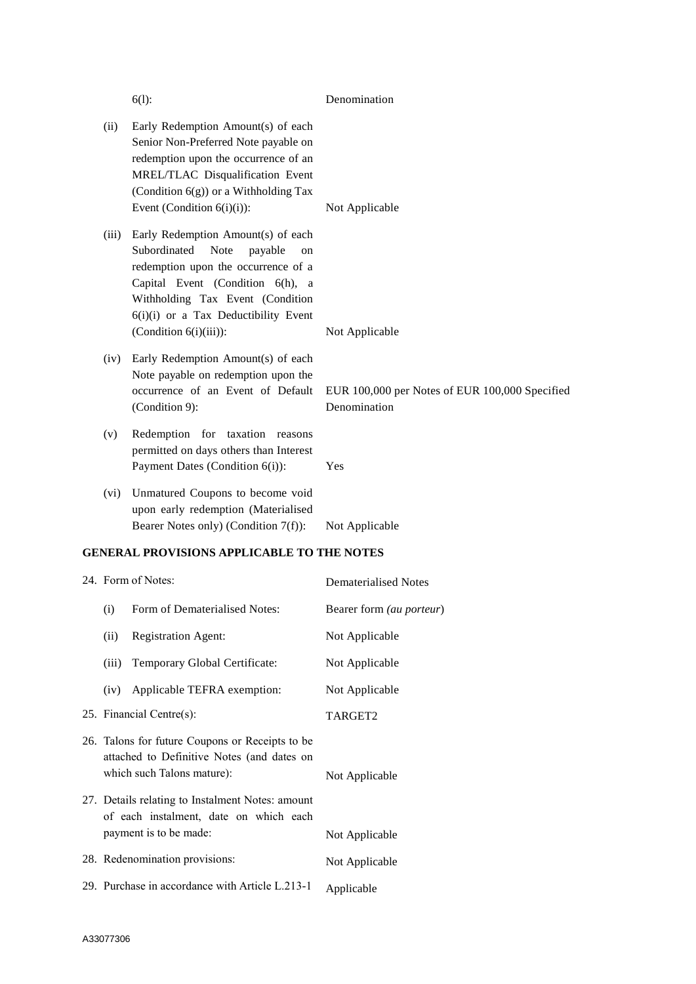|                                                                                                                             | $6(1)$ :                                                                                                                                                                                                                                                     | Denomination                                                   |
|-----------------------------------------------------------------------------------------------------------------------------|--------------------------------------------------------------------------------------------------------------------------------------------------------------------------------------------------------------------------------------------------------------|----------------------------------------------------------------|
| (ii)                                                                                                                        | Early Redemption Amount(s) of each<br>Senior Non-Preferred Note payable on<br>redemption upon the occurrence of an<br>MREL/TLAC Disqualification Event<br>(Condition 6(g)) or a Withholding Tax<br>Event (Condition $6(i)(i)$ ):                             | Not Applicable                                                 |
| (iii)                                                                                                                       | Early Redemption Amount(s) of each<br>Subordinated<br>Note<br>payable<br>on<br>redemption upon the occurrence of a<br>Capital Event (Condition 6(h), a<br>Withholding Tax Event (Condition<br>6(i)(i) or a Tax Deductibility Event<br>(Condition 6(i)(iii)): | Not Applicable                                                 |
| (iv)                                                                                                                        | Early Redemption Amount(s) of each<br>Note payable on redemption upon the<br>occurrence of an Event of Default<br>(Condition 9):                                                                                                                             | EUR 100,000 per Notes of EUR 100,000 Specified<br>Denomination |
| (v)                                                                                                                         | Redemption for taxation reasons<br>permitted on days others than Interest<br>Payment Dates (Condition 6(i)):                                                                                                                                                 | Yes                                                            |
| (vi)                                                                                                                        | Unmatured Coupons to become void<br>upon early redemption (Materialised<br>Bearer Notes only) (Condition 7(f)):                                                                                                                                              | Not Applicable                                                 |
|                                                                                                                             | <b>GENERAL PROVISIONS APPLICABLE TO THE NOTES</b>                                                                                                                                                                                                            |                                                                |
|                                                                                                                             | 24. Form of Notes:                                                                                                                                                                                                                                           | <b>Dematerialised Notes</b>                                    |
|                                                                                                                             | (i) Form of Dematerialised Notes:                                                                                                                                                                                                                            | Bearer form (au porteur)                                       |
| (ii)                                                                                                                        | <b>Registration Agent:</b>                                                                                                                                                                                                                                   | Not Applicable                                                 |
| (iii)                                                                                                                       | Temporary Global Certificate:                                                                                                                                                                                                                                | Not Applicable                                                 |
| (iv)                                                                                                                        | Applicable TEFRA exemption:                                                                                                                                                                                                                                  | Not Applicable                                                 |
| 25. Financial Centre(s):                                                                                                    |                                                                                                                                                                                                                                                              | TARGET2                                                        |
| 26. Talons for future Coupons or Receipts to be<br>attached to Definitive Notes (and dates on<br>which such Talons mature): |                                                                                                                                                                                                                                                              | Not Applicable                                                 |
| 27. Details relating to Instalment Notes: amount<br>of each instalment, date on which each<br>payment is to be made:        |                                                                                                                                                                                                                                                              | Not Applicable                                                 |
| 28. Redenomination provisions:                                                                                              |                                                                                                                                                                                                                                                              | Not Applicable                                                 |
| 29. Purchase in accordance with Article L.213-1                                                                             |                                                                                                                                                                                                                                                              | Applicable                                                     |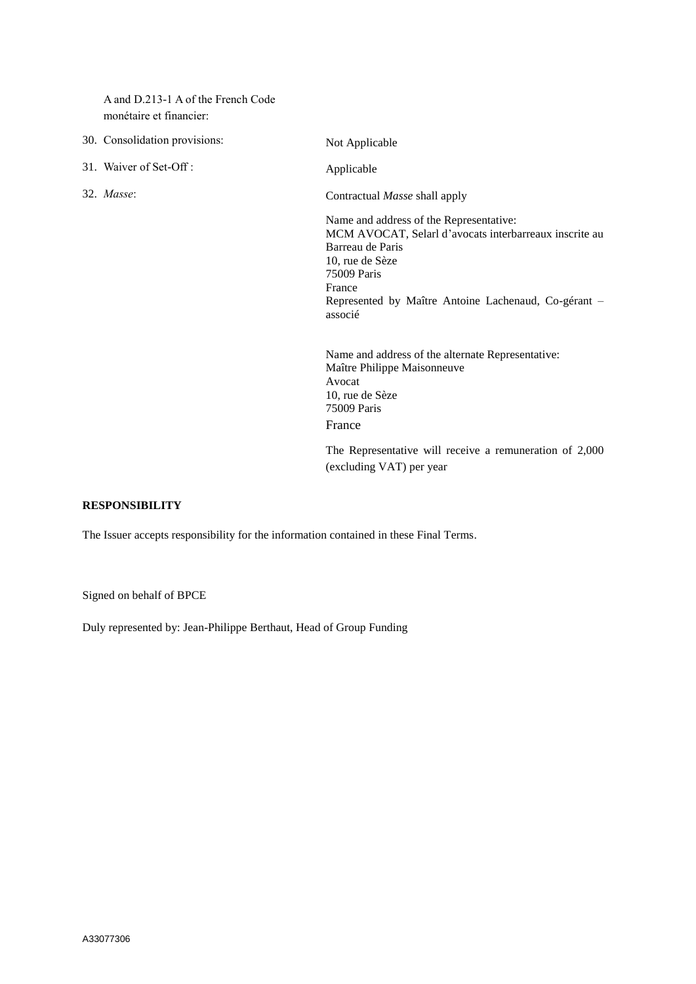A and D.213-1 A of the French Code monétaire et financier:

30. Consolidation provisions: Not Applicable 31. Waiver of Set-Off : Applicable 32. *Masse*: Contractual *Masse* shall apply Name and address of the Representative: MCM AVOCAT, Selarl d'avocats interbarreaux inscrite au Barreau de Paris 10, rue de Sèze 75009 Paris France Represented by Maître Antoine Lachenaud, Co-gérant – associé Name and address of the alternate Representative: Maître Philippe Maisonneuve Avocat 10, rue de Sèze 75009 Paris France

> The Representative will receive a remuneration of 2,000 (excluding VAT) per year

## **RESPONSIBILITY**

The Issuer accepts responsibility for the information contained in these Final Terms.

Signed on behalf of BPCE

Duly represented by: Jean-Philippe Berthaut, Head of Group Funding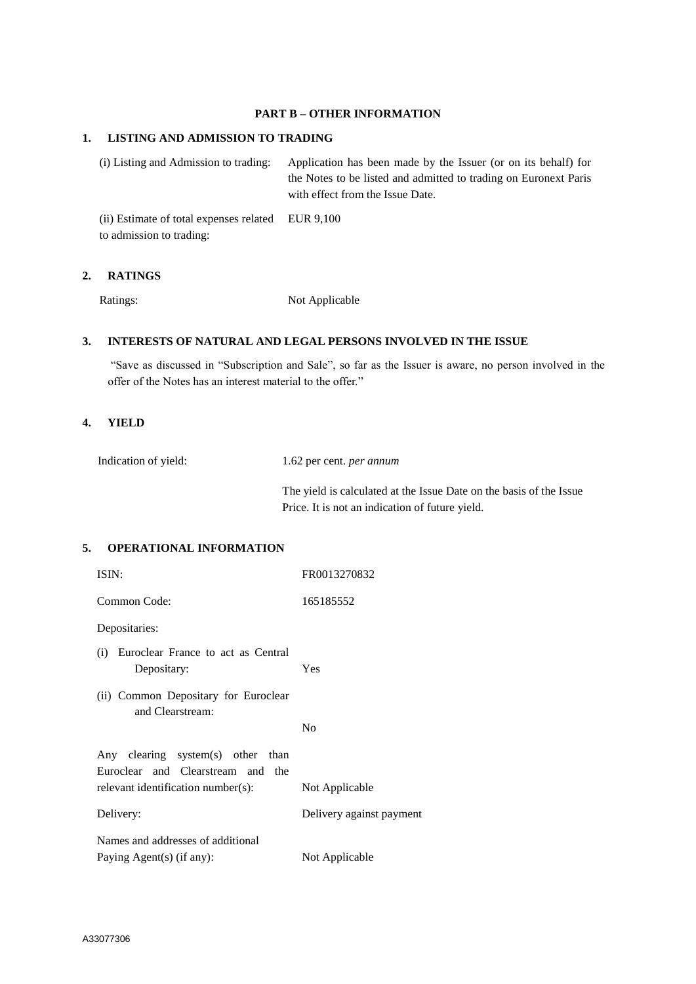# **PART B – OTHER INFORMATION**

#### **1. LISTING AND ADMISSION TO TRADING**

(i) Listing and Admission to trading: Application has been made by the Issuer (or on its behalf) for the Notes to be listed and admitted to trading on Euronext Paris with effect from the Issue Date.

(ii) Estimate of total expenses related to admission to trading: EUR 9,100

## **2. RATINGS**

Ratings: Not Applicable

## **3. INTERESTS OF NATURAL AND LEGAL PERSONS INVOLVED IN THE ISSUE**

"Save as discussed in "Subscription and Sale", so far as the Issuer is aware, no person involved in the offer of the Notes has an interest material to the offer."

#### **4. YIELD**

| Indication of yield: | 1.62 per cent. <i>per annum</i> |
|----------------------|---------------------------------|
|                      |                                 |

The yield is calculated at the Issue Date on the basis of the Issue Price. It is not an indication of future yield.

#### **5. OPERATIONAL INFORMATION**

| ISIN:                                                                  | FR0013270832             |
|------------------------------------------------------------------------|--------------------------|
| Common Code:                                                           | 165185552                |
| Depositaries:                                                          |                          |
| Euroclear France to act as Central<br>(i)<br>Depositary:               | Yes                      |
| (ii) Common Depositary for Euroclear<br>and Clearstream:               | N <sub>0</sub>           |
| Any clearing system(s) other than<br>Euroclear and Clearstream and the |                          |
| relevant identification number(s):                                     | Not Applicable           |
| Delivery:                                                              | Delivery against payment |
| Names and addresses of additional                                      |                          |
| Paying Agent(s) (if any):                                              | Not Applicable           |